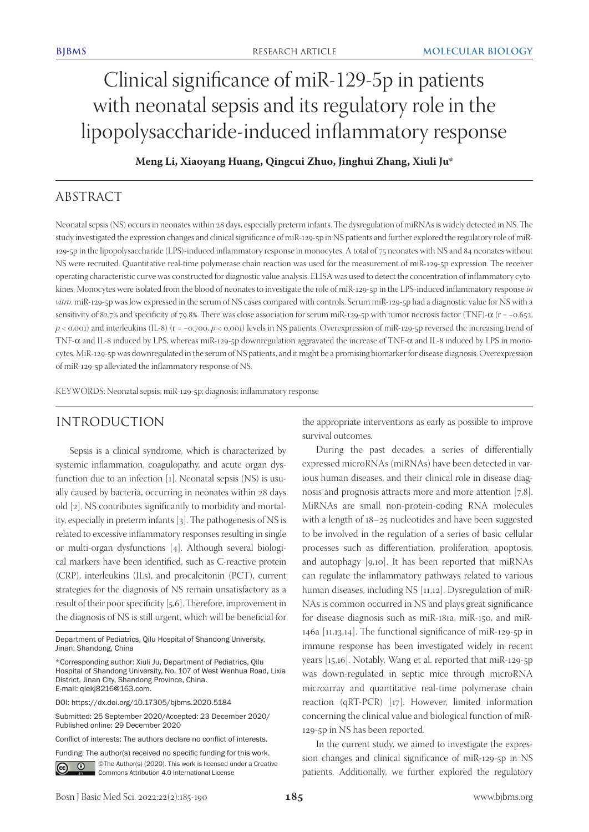# Clinical significance of miR-129-5p in patients with neonatal sepsis and its regulatory role in the lipopolysaccharide-induced inflammatory response

**Meng Li, Xiaoyang Huang, Qingcui Zhuo, Jinghui Zhang, Xiuli Ju\***

# ABSTRACT

Neonatal sepsis (NS) occurs in neonates within 28 days, especially preterm infants. The dysregulation of miRNAs is widely detected in NS. The study investigated the expression changes and clinical significance of miR-129-5p in NS patients and further explored the regulatory role of miR-129-5p in the lipopolysaccharide (LPS)-induced inflammatory response in monocytes. A total of 75 neonates with NS and 84 neonates without NS were recruited. Quantitative real-time polymerase chain reaction was used for the measurement of miR-129-5p expression. The receiver operating characteristic curve was constructed for diagnostic value analysis. ELISA was used to detect the concentration of inflammatory cytokines. Monocytes were isolated from the blood of neonates to investigate the role of miR-129-5p in the LPS-induced inflammatory response *in vitro*. miR-129-5p was low expressed in the serum of NS cases compared with controls. Serum miR-129-5p had a diagnostic value for NS with a sensitivity of 82.7% and specificity of 79.8%. There was close association for serum miR-129-5p with tumor necrosis factor (TNF)-α (r = -0.652, *p* < 0.001) and interleukins (IL-8) (r = −0.700, *p* < 0.001) levels in NS patients. Overexpression of miR-129-5p reversed the increasing trend of TNF-α and IL-8 induced by LPS, whereas miR-129-5p downregulation aggravated the increase of TNF-α and IL-8 induced by LPS in monocytes. MiR-129-5p was downregulated in the serum of NS patients, and it might be a promising biomarker for disease diagnosis. Overexpression of miR-129-5p alleviated the inflammatory response of NS.

KEYWORDS: Neonatal sepsis; miR-129-5p; diagnosis; inflammatory response

## INTRODUCTION

Sepsis is a clinical syndrome, which is characterized by systemic inflammation, coagulopathy, and acute organ dysfunction due to an infection [1]. Neonatal sepsis (NS) is usually caused by bacteria, occurring in neonates within 28 days old [2]. NS contributes significantly to morbidity and mortality, especially in preterm infants [3]. The pathogenesis of NS is related to excessive inflammatory responses resulting in single or multi-organ dysfunctions [4]. Although several biological markers have been identified, such as C-reactive protein (CRP), interleukins (ILs), and procalcitonin (PCT), current strategies for the diagnosis of NS remain unsatisfactory as a result of their poor specificity [5,6]. Therefore, improvement in the diagnosis of NS is still urgent, which will be beneficial for

Funding: The author(s) received no specific funding for this work.

<u>ේ</u>

©The Author(s) (2020). This work is licensed under a Creative Commons Attribution 4.0 International License

the appropriate interventions as early as possible to improve survival outcomes.

During the past decades, a series of differentially expressed microRNAs (miRNAs) have been detected in various human diseases, and their clinical role in disease diagnosis and prognosis attracts more and more attention [7,8]. MiRNAs are small non-protein-coding RNA molecules with a length of 18–25 nucleotides and have been suggested to be involved in the regulation of a series of basic cellular processes such as differentiation, proliferation, apoptosis, and autophagy [9,10]. It has been reported that miRNAs can regulate the inflammatory pathways related to various human diseases, including NS [11,12]. Dysregulation of miR-NAs is common occurred in NS and plays great significance for disease diagnosis such as miR-181a, miR-150, and miR-146a [11,13,14]. The functional significance of miR-129-5p in immune response has been investigated widely in recent years [15,16]. Notably, Wang et al. reported that miR-129-5p was down-regulated in septic mice through microRNA microarray and quantitative real-time polymerase chain reaction (qRT-PCR) [17]. However, limited information concerning the clinical value and biological function of miR-129-5p in NS has been reported.

In the current study, we aimed to investigate the expression changes and clinical significance of miR-129-5p in NS patients. Additionally, we further explored the regulatory

Department of Pediatrics, Qilu Hospital of Shandong University, Jinan, Shandong, China

<sup>\*</sup>Corresponding author: Xiuli Ju, Department of Pediatrics, Qilu Hospital of Shandong University, No. 107 of West Wenhua Road, Lixia District, Jinan City, Shandong Province, China. E-mail: qlekj8216@163.com.

DOI: https://dx.doi.org/10.17305/bjbms.2020.5184

Submitted: 25 September 2020/Accepted: 23 December 2020/ Published online: 29 December 2020

Conflict of interests: The authors declare no conflict of interests.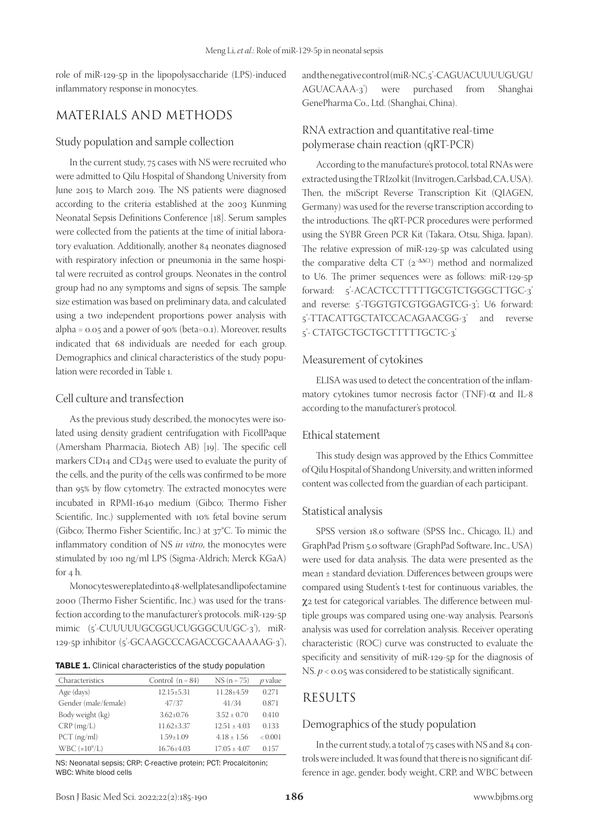role of miR-129-5p in the lipopolysaccharide (LPS)-induced inflammatory response in monocytes.

## MATERIALS AND METHODS

### Study population and sample collection

In the current study, 75 cases with NS were recruited who were admitted to Qilu Hospital of Shandong University from June 2015 to March 2019. The NS patients were diagnosed according to the criteria established at the 2003 Kunming Neonatal Sepsis Definitions Conference [18]. Serum samples were collected from the patients at the time of initial laboratory evaluation. Additionally, another 84 neonates diagnosed with respiratory infection or pneumonia in the same hospital were recruited as control groups. Neonates in the control group had no any symptoms and signs of sepsis. The sample size estimation was based on preliminary data, and calculated using a two independent proportions power analysis with alpha = 0.05 and a power of 90% (beta=0.1). Moreover, results indicated that 68 individuals are needed for each group. Demographics and clinical characteristics of the study population were recorded in Table 1.

### Cell culture and transfection

As the previous study described, the monocytes were isolated using density gradient centrifugation with FicollPaque (Amersham Pharmacia, Biotech AB) [19]. The specific cell markers CD14 and CD45 were used to evaluate the purity of the cells, and the purity of the cells was confirmed to be more than 95% by flow cytometry. The extracted monocytes were incubated in RPMI-1640 medium (Gibco; Thermo Fisher Scientific, Inc.) supplemented with 10% fetal bovine serum (Gibco; Thermo Fisher Scientific, Inc.) at 37°C. To mimic the inflammatory condition of NS *in vitro*, the monocytes were stimulated by 100 ng/ml LPS (Sigma-Aldrich; Merck KGaA) for 4 h.

Monocytes were plated into 48-well plates and lipofectamine 2000 (Thermo Fisher Scientific, Inc.) was used for the transfection according to the manufacturer's protocols. miR-129-5p mimic (5'-CUUUUUGCGGUCUGGGCUUGC-3'), miR-129-5p inhibitor (5'-GCAAGCCCAGACCGCAAAAAG-3'),

|  |  | TABLE 1. Clinical characteristics of the study population |  |  |  |
|--|--|-----------------------------------------------------------|--|--|--|
|--|--|-----------------------------------------------------------|--|--|--|

| Characteristics       | Control $(n = 84)$ | $NS (n = 75)$    | $p$ value |
|-----------------------|--------------------|------------------|-----------|
| Age (days)            | $12.15 \pm 5.31$   | 11.28+4.59       | 0.271     |
| Gender (male/female)  | 47/37              | 41/34            | 0.871     |
| Body weight (kg)      | $3.62 \pm 0.76$    | $3.52 + 0.70$    | 0.410     |
| $CRP$ (mg/L)          | $11.62 \pm 3.37$   | $12.51 + 4.03$   | 0.133     |
| $PCT$ (ng/ml)         | $1.59 \pm 1.09$    | $4.18 + 1.56$    | < 0.001   |
| WBC $(\times 10^9/L)$ | $16.76 \pm 4.03$   | $17.05 \pm 4.07$ | 0.157     |

NS: Neonatal sepsis; CRP: C-reactive protein; PCT: Procalcitonin; WBC: White blood cells

and the negative control (miR-NC, 5'-CAGUACUUUUGUGU AGUACAAA-3') were purchased from Shanghai GenePharma Co., Ltd. (Shanghai, China).

## RNA extraction and quantitative real-time polymerase chain reaction (qRT-PCR)

According to the manufacture's protocol, total RNAs were extracted using the TRIzol kit (Invitrogen, Carlsbad, CA, USA). Then, the miScript Reverse Transcription Kit (QIAGEN, Germany) was used for the reverse transcription according to the introductions. The qRT-PCR procedures were performed using the SYBR Green PCR Kit (Takara, Otsu, Shiga, Japan). The relative expression of miR-129-5p was calculated using the comparative delta CT (2<sup>−ΔΔCt</sup>) method and normalized to U6. The primer sequences were as follows: miR-129-5p forward: 5'-ACACTCCTTTTTGCGTCTGGGCTTGC-3' and reverse: 5'-TGGTGTCGTGGAGTCG-3'; U6 forward: 5'-TTACATTGCTATCCACAGAACGG-3' and reverse 5'- CTATGCTGCTGCTTTTTGCTC-3'.

#### Measurement of cytokines

ELISA was used to detect the concentration of the inflammatory cytokines tumor necrosis factor (TNF)-α and IL-8 according to the manufacturer's protocol.

## Ethical statement

This study design was approved by the Ethics Committee of Qilu Hospital of Shandong University, and written informed content was collected from the guardian of each participant.

## Statistical analysis

SPSS version 18.0 software (SPSS Inc., Chicago, IL) and GraphPad Prism 5.0 software (GraphPad Software, Inc., USA) were used for data analysis. The data were presented as the mean ± standard deviation. Differences between groups were compared using Student's t-test for continuous variables, the χ2 test for categorical variables. The difference between multiple groups was compared using one-way analysis. Pearson's analysis was used for correlation analysis. Receiver operating characteristic (ROC) curve was constructed to evaluate the specificity and sensitivity of miR-129-5p for the diagnosis of NS. *p* < 0.05 was considered to be statistically significant.

## RESULTS

#### Demographics of the study population

In the current study, a total of 75 cases with NS and 84 controls were included. It was found that there is no significant difference in age, gender, body weight, CRP, and WBC between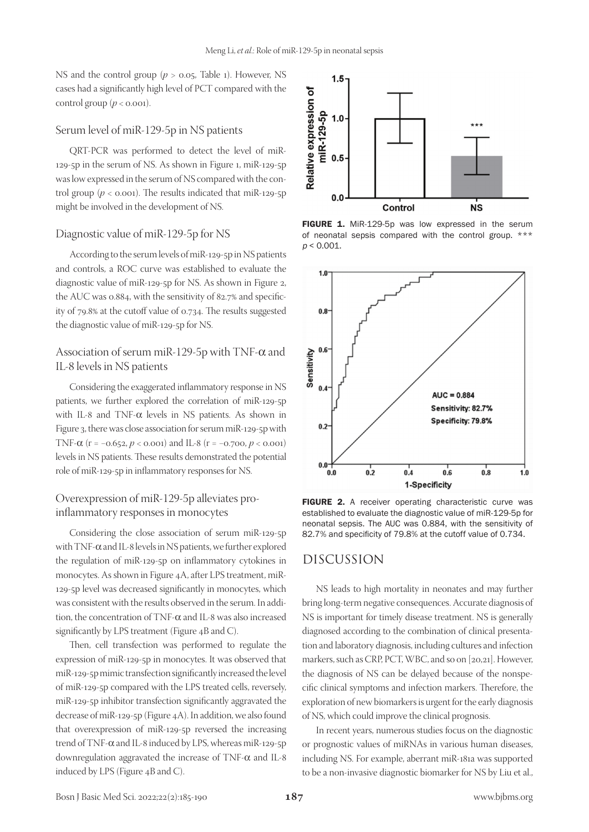NS and the control group (*p* > 0.05, Table 1). However, NS cases had a significantly high level of PCT compared with the control group  $(p < 0.001)$ .

#### Serum level of miR-129-5p in NS patients

QRT-PCR was performed to detect the level of miR-129-5p in the serum of NS. As shown in Figure 1, miR-129-5p was low expressed in the serum of NS compared with the control group ( $p <$  0.001). The results indicated that miR-129-5p might be involved in the development of NS.

#### Diagnostic value of miR-129-5p for NS

According to the serum levels of miR-129-5p in NS patients and controls, a ROC curve was established to evaluate the diagnostic value of miR-129-5p for NS. As shown in Figure 2, the AUC was 0.884, with the sensitivity of 82.7% and specificity of 79.8% at the cutoff value of 0.734. The results suggested the diagnostic value of miR-129-5p for NS.

## Association of serum miR-129-5p with TNF-α and IL-8 levels in NS patients

Considering the exaggerated inflammatory response in NS patients, we further explored the correlation of miR-129-5p with IL-8 and TNF- $\alpha$  levels in NS patients. As shown in Figure 3, there was close association for serum miR-129-5p with TNF-α (r = −0.652, *p* < 0.001) and IL-8 (r = −0.700, *p* < 0.001) levels in NS patients. These results demonstrated the potential role of miR-129-5p in inflammatory responses for NS.

## Overexpression of miR-129-5p alleviates proinflammatory responses in monocytes

Considering the close association of serum miR-129-5p with TNF-α and IL-8 levels in NS patients, we further explored the regulation of miR-129-5p on inflammatory cytokines in monocytes. As shown in Figure 4A, after LPS treatment, miR-129-5p level was decreased significantly in monocytes, which was consistent with the results observed in the serum. In addition, the concentration of TNF-α and IL-8 was also increased significantly by LPS treatment (Figure 4B and C).

Then, cell transfection was performed to regulate the expression of miR-129-5p in monocytes. It was observed that miR-129-5p mimic transfection significantly increased the level of miR-129-5p compared with the LPS treated cells, reversely, miR-129-5p inhibitor transfection significantly aggravated the decrease of miR-129-5p (Figure 4A). In addition, we also found that overexpression of miR-129-5p reversed the increasing trend of TNF-α and IL-8 induced by LPS, whereas miR-129-5p downregulation aggravated the increase of TNF- $\alpha$  and IL-8 induced by LPS (Figure 4B and C).



FIGURE 1. MiR-129-5p was low expressed in the serum of neonatal sepsis compared with the control group. \*\*\*  $p < 0.001$ .



FIGURE 2. A receiver operating characteristic curve was established to evaluate the diagnostic value of miR-129-5p for neonatal sepsis. The AUC was 0.884, with the sensitivity of 82.7% and specificity of 79.8% at the cutoff value of 0.734.

## DISCUSSION

NS leads to high mortality in neonates and may further bring long-term negative consequences. Accurate diagnosis of NS is important for timely disease treatment. NS is generally diagnosed according to the combination of clinical presentation and laboratory diagnosis, including cultures and infection markers, such as CRP, PCT, WBC, and so on [20,21]. However, the diagnosis of NS can be delayed because of the nonspecific clinical symptoms and infection markers. Therefore, the exploration of new biomarkers is urgent for the early diagnosis of NS, which could improve the clinical prognosis.

In recent years, numerous studies focus on the diagnostic or prognostic values of miRNAs in various human diseases, including NS. For example, aberrant miR-181a was supported to be a non-invasive diagnostic biomarker for NS by Liu et al.,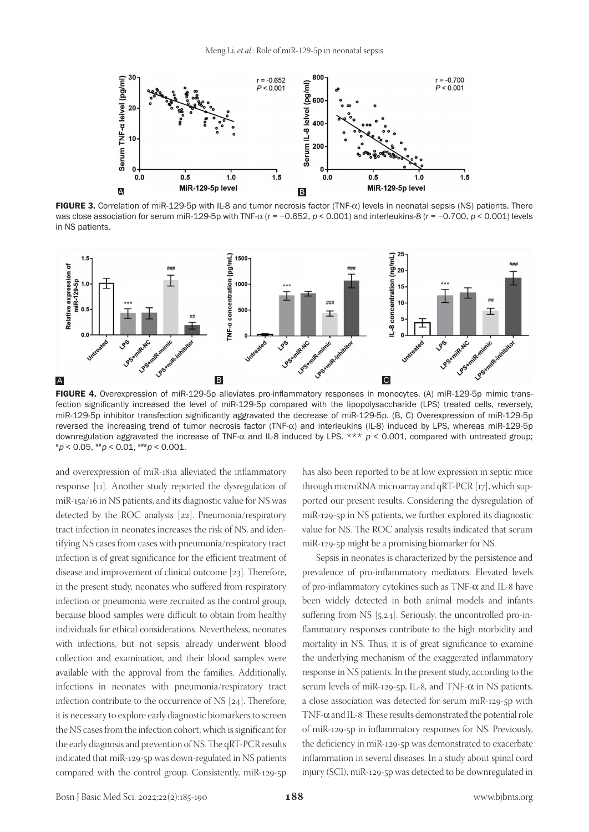

FIGURE 3. Correlation of miR-129-5p with IL-8 and tumor necrosis factor (TNF-α) levels in neonatal sepsis (NS) patients. There was close association for serum miR-129-5p with TNF- $\alpha$  (r = -0.652, p < 0.001) and interleukins-8 (r = -0.700, p < 0.001) levels in NS patients.



FIGURE 4. Overexpression of miR-129-5p alleviates pro-inflammatory responses in monocytes. (A) miR-129-5p mimic transfection significantly increased the level of miR-129-5p compared with the lipopolysaccharide (LPS) treated cells, reversely, miR-129-5p inhibitor transfection significantly aggravated the decrease of miR-129-5p. (B, C) Overexpression of miR-129-5p reversed the increasing trend of tumor necrosis factor (TNF-α) and interleukins (IL-8) induced by LPS, whereas miR-129-5p downregulation aggravated the increase of TNF- $\alpha$  and IL-8 induced by LPS. \*\*\*  $p < 0.001$ , compared with untreated group;  $*p < 0.05, **p < 0.01, **p < 0.001.$ 

and overexpression of miR-181a alleviated the inflammatory response [11]. Another study reported the dysregulation of miR-15a/16 in NS patients, and its diagnostic value for NS was detected by the ROC analysis [22]. Pneumonia/respiratory tract infection in neonates increases the risk of NS, and identifying NS cases from cases with pneumonia/respiratory tract infection is of great significance for the efficient treatment of disease and improvement of clinical outcome [23]. Therefore, in the present study, neonates who suffered from respiratory infection or pneumonia were recruited as the control group, because blood samples were difficult to obtain from healthy individuals for ethical considerations. Nevertheless, neonates with infections, but not sepsis, already underwent blood collection and examination, and their blood samples were available with the approval from the families. Additionally, infections in neonates with pneumonia/respiratory tract infection contribute to the occurrence of NS [24]. Therefore, it is necessary to explore early diagnostic biomarkers to screen the NS cases from the infection cohort, which is significant for the early diagnosis and prevention of NS. The qRT-PCR results indicated that miR-129-5p was down-regulated in NS patients compared with the control group. Consistently, miR-129-5p

has also been reported to be at low expression in septic mice through microRNA microarray and qRT-PCR [17], which supported our present results. Considering the dysregulation of miR-129-5p in NS patients, we further explored its diagnostic value for NS. The ROC analysis results indicated that serum miR-129-5p might be a promising biomarker for NS.

Sepsis in neonates is characterized by the persistence and prevalence of pro-inflammatory mediators. Elevated levels of pro-inflammatory cytokines such as TNF- $\alpha$  and IL-8 have been widely detected in both animal models and infants suffering from NS [5,24]. Seriously, the uncontrolled pro-inflammatory responses contribute to the high morbidity and mortality in NS. Thus, it is of great significance to examine the underlying mechanism of the exaggerated inflammatory response in NS patients. In the present study, according to the serum levels of miR-129-5p, IL-8, and TNF- $\alpha$  in NS patients, a close association was detected for serum miR-129-5p with TNF-α and IL-8. These results demonstrated the potential role of miR-129-5p in inflammatory responses for NS. Previously, the deficiency in miR-129-5p was demonstrated to exacerbate inflammation in several diseases. In a study about spinal cord injury (SCI), miR-129-5p was detected to be downregulated in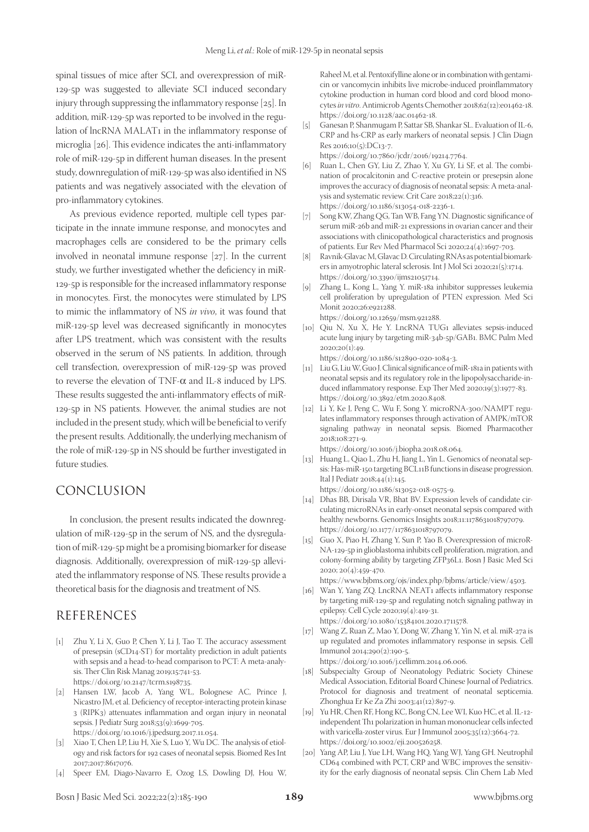spinal tissues of mice after SCI, and overexpression of miR-129-5p was suggested to alleviate SCI induced secondary injury through suppressing the inflammatory response [25]. In addition, miR-129-5p was reported to be involved in the regulation of lncRNA MALAT1 in the inflammatory response of microglia [26]. This evidence indicates the anti-inflammatory role of miR-129-5p in different human diseases. In the present study, downregulation of miR-129-5p was also identified in NS patients and was negatively associated with the elevation of pro-inflammatory cytokines.

As previous evidence reported, multiple cell types participate in the innate immune response, and monocytes and macrophages cells are considered to be the primary cells involved in neonatal immune response [27]. In the current study, we further investigated whether the deficiency in miR-129-5p is responsible for the increased inflammatory response in monocytes. First, the monocytes were stimulated by LPS to mimic the inflammatory of NS *in vivo*, it was found that miR-129-5p level was decreased significantly in monocytes after LPS treatment, which was consistent with the results observed in the serum of NS patients. In addition, through cell transfection, overexpression of miR-129-5p was proved to reverse the elevation of TNF- $\alpha$  and IL-8 induced by LPS. These results suggested the anti-inflammatory effects of miR-129-5p in NS patients. However, the animal studies are not included in the present study, which will be beneficial to verify the present results. Additionally, the underlying mechanism of the role of miR-129-5p in NS should be further investigated in future studies.

## CONCLUSION

In conclusion, the present results indicated the downregulation of miR-129-5p in the serum of NS, and the dysregulation of miR-129-5p might be a promising biomarker for disease diagnosis. Additionally, overexpression of miR-129-5p alleviated the inflammatory response of NS. These results provide a theoretical basis for the diagnosis and treatment of NS.

## REFERENCES

- [1] Zhu Y, Li X, Guo P, Chen Y, Li J, Tao T. The accuracy assessment of presepsin (sCD14-ST) for mortality prediction in adult patients with sepsis and a head-to-head comparison to PCT: A meta-analysis. Ther Clin Risk Manag 2019;15:741-53. https://doi.org/10.2147/tcrm.s198735.
- [2] Hansen LW, Jacob A, Yang WL, Bolognese AC, Prince J, Nicastro JM, et al. Deficiency of receptor-interacting protein kinase 3 (RIPK3) attenuates inflammation and organ injury in neonatal sepsis. J Pediatr Surg 2018;53(9):1699-705. https://doi.org/10.1016/j.jpedsurg.2017.11.054.
- [3] Xiao T, Chen LP, Liu H, Xie S, Luo Y, Wu DC. The analysis of etiology and risk factors for 192 cases of neonatal sepsis. Biomed Res Int 2017;2017:8617076.
- [4] Speer EM, Diago-Navarro E, Ozog LS, Dowling DJ, Hou W,

Raheel M, et al. Pentoxifylline alone or in combination with gentamicin or vancomycin inhibits live microbe-induced proinflammatory cytokine production in human cord blood and cord blood monocytes *in vitro*. Antimicrob Agents Chemother 2018;62(12):e01462-18. https://doi.org/10.1128/aac.01462-18.

[5] Ganesan P, Shanmugam P, Sattar SB, Shankar SL. Evaluation of IL-6, CRP and hs-CRP as early markers of neonatal sepsis. J Clin Diagn Res 2016;10(5):DC13-7.

https://doi.org/10.7860/jcdr/2016/19214.7764.

- [6] Ruan L, Chen GY, Liu Z, Zhao Y, Xu GY, Li SF, et al. The combination of procalcitonin and C-reactive protein or presepsin alone improves the accuracy of diagnosis of neonatal sepsis: A meta-analysis and systematic review. Crit Care 2018;22(1):316. https://doi.org/10.1186/s13054-018-2236-1.
- [7] Song KW, Zhang QG, Tan WB, Fang YN. Diagnostic significance of serum miR-26b and miR-21 expressions in ovarian cancer and their associations with clinicopathological characteristics and prognosis of patients. Eur Rev Med Pharmacol Sci 2020;24(4):1697-703.
- [8] Ravnik-Glavac M, Glavac D. Circulating RNAs as potential biomarkers in amyotrophic lateral sclerosis. Int J Mol Sci 2020;21(5):1714. https://doi.org/10.3390/ijms21051714.
- [9] Zhang L, Kong L, Yang Y. miR-18a inhibitor suppresses leukemia cell proliferation by upregulation of PTEN expression. Med Sci Monit 2020;26:e921288. https://doi.org/10.12659/msm.921288.
- [10] Qiu N, Xu X, He Y. LncRNA TUG1 alleviates sepsis-induced acute lung injury by targeting miR-34b-5p/GAB1. BMC Pulm Med  $2020;20(1):49.$

https://doi.org/10.1186/s12890-020-1084-3.

- [11] Liu G, Liu W, Guo J. Clinical significance of miR-181a in patients with neonatal sepsis and its regulatory role in the lipopolysaccharide-induced inflammatory response. Exp Ther Med 2020;19(3):1977-83. https://doi.org/10.3892/etm.2020.8408.
- [12] Li Y, Ke J, Peng C, Wu F, Song Y. microRNA-300/NAMPT regulates inflammatory responses through activation of AMPK/mTOR signaling pathway in neonatal sepsis. Biomed Pharmacother 2018;108:271-9.
	- https://doi.org/10.1016/j.biopha.2018.08.064.
- [13] Huang L, Qiao L, Zhu H, Jiang L, Yin L. Genomics of neonatal sepsis: Has-miR-150 targeting BCL11B functions in disease progression. Ital J Pediatr 2018;44(1):145. https://doi.org/10.1186/s13052-018-0575-9.
- [14] Dhas BB, Dirisala VR, Bhat BV. Expression levels of candidate circulating microRNAs in early-onset neonatal sepsis compared with healthy newborns. Genomics Insights 2018;11:1178631018797079. https://doi.org/10.1177/1178631018797079.
- [15] Guo X, Piao H, Zhang Y, Sun P, Yao B. Overexpression of microR-NA-129-5p in glioblastoma inhibits cell proliferation, migration, and colony-forming ability by targeting ZFP36L1. Bosn J Basic Med Sci 2020; 20(4):459-470.

https://www.bjbms.org/ojs/index.php/bjbms/article/view/4503.

[16] Wan Y, Yang ZQ. LncRNA NEAT1 affects inflammatory response by targeting miR-129-5p and regulating notch signaling pathway in epilepsy. Cell Cycle 2020;19(4):419-31.

https://doi.org/10.1080/15384101.2020.1711578.

- [17] Wang Z, Ruan Z, Mao Y, Dong W, Zhang Y, Yin N, et al. miR-27a is up regulated and promotes inflammatory response in sepsis. Cell Immunol 2014;290(2):190-5. https://doi.org/10.1016/j.cellimm.2014.06.006.
- [18] Subspecialty Group of Neonatology Pediatric Society Chinese Medical Association, Editorial Board Chinese Journal of Pediatrics. Protocol for diagnosis and treatment of neonatal septicemia. Zhonghua Er Ke Za Zhi 2003;41(12):897-9.
- [19] Yu HR, Chen RF, Hong KC, Bong CN, Lee WI, Kuo HC, et al. IL-12independent Th1 polarization in human mononuclear cells infected with varicella-zoster virus. Eur J Immunol 2005;35(12):3664-72. https://doi.org/10.1002/eji.200526258.
- [20] Yang AP, Liu J, Yue LH, Wang HQ, Yang WJ, Yang GH. Neutrophil CD64 combined with PCT, CRP and WBC improves the sensitivity for the early diagnosis of neonatal sepsis. Clin Chem Lab Med